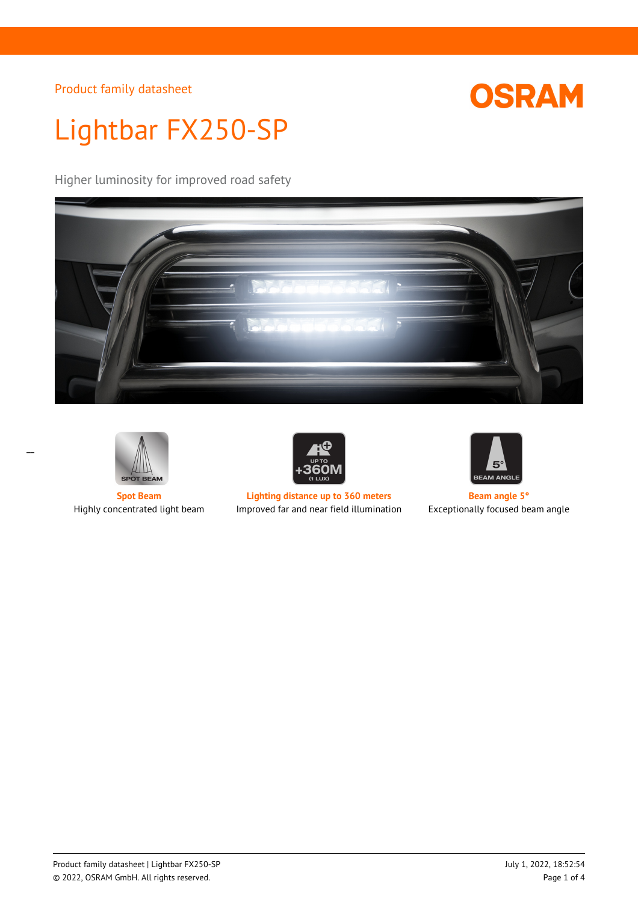

# Lightbar FX250-SP

Higher luminosity for improved road safety







**Spot Beam Lighting distance up to 360 meters Beam angle 5°** Highly concentrated light beam Improved far and near field illumination Exceptionally focused beam angle



 $\overline{a}$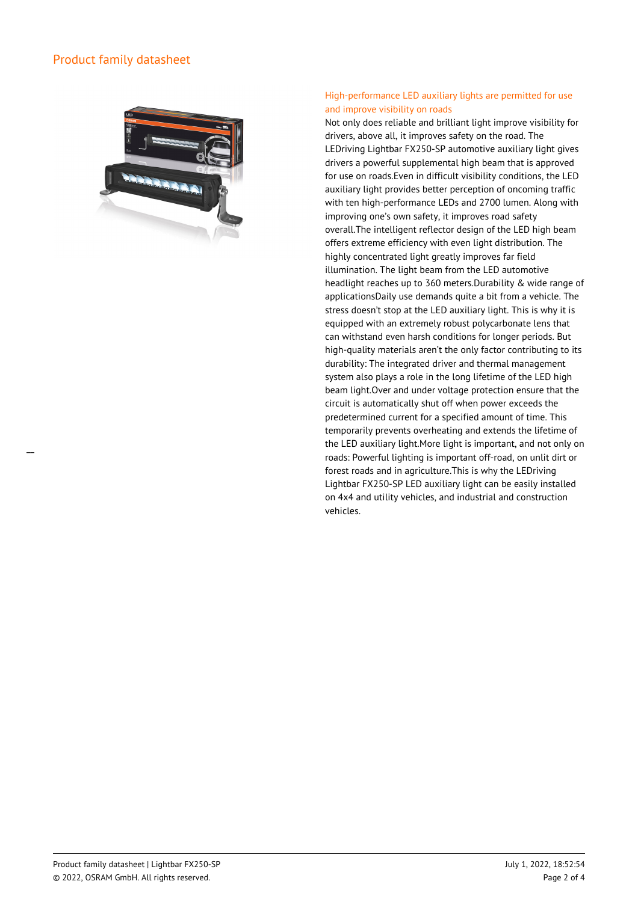

## High-performance LED auxiliary lights are permitted for use and improve visibility on roads

Not only does reliable and brilliant light improve visibility for drivers, above all, it improves safety on the road. The LEDriving Lightbar FX250-SP automotive auxiliary light gives drivers a powerful supplemental high beam that is approved for use on roads.Even in difficult visibility conditions, the LED auxiliary light provides better perception of oncoming traffic with ten high-performance LEDs and 2700 lumen. Along with improving one's own safety, it improves road safety overall.The intelligent reflector design of the LED high beam offers extreme efficiency with even light distribution. The highly concentrated light greatly improves far field illumination. The light beam from the LED automotive headlight reaches up to 360 meters.Durability & wide range of applicationsDaily use demands quite a bit from a vehicle. The stress doesn't stop at the LED auxiliary light. This is why it is equipped with an extremely robust polycarbonate lens that can withstand even harsh conditions for longer periods. But high-quality materials aren't the only factor contributing to its durability: The integrated driver and thermal management system also plays a role in the long lifetime of the LED high beam light.Over and under voltage protection ensure that the circuit is automatically shut off when power exceeds the predetermined current for a specified amount of time. This temporarily prevents overheating and extends the lifetime of the LED auxiliary light.More light is important, and not only on roads: Powerful lighting is important off-road, on unlit dirt or forest roads and in agriculture.This is why the LEDriving Lightbar FX250-SP LED auxiliary light can be easily installed on 4x4 and utility vehicles, and industrial and construction vehicles.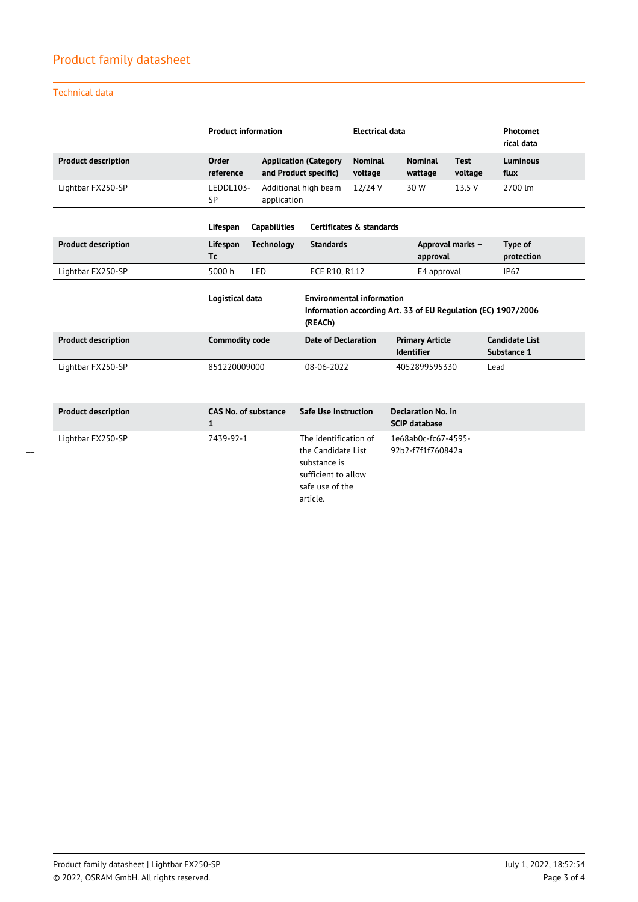## Technical data

\_\_

|                            | <b>Product information</b> |                                                                  |                                                                                                              | <b>Electrical data</b>    |                                             |                        | <b>Photomet</b><br>rical data        |
|----------------------------|----------------------------|------------------------------------------------------------------|--------------------------------------------------------------------------------------------------------------|---------------------------|---------------------------------------------|------------------------|--------------------------------------|
| <b>Product description</b> | Order<br>reference         | <b>Application (Category</b><br>and Product specific)            |                                                                                                              | <b>Nominal</b><br>voltage | <b>Nominal</b><br>wattage                   | <b>Test</b><br>voltage | Luminous<br>flux                     |
| Lightbar FX250-SP          | LEDDL103-<br>SP            | 12/24 V<br>Additional high beam<br>30 W<br>13.5 V<br>application |                                                                                                              |                           | 2700 lm                                     |                        |                                      |
|                            | Lifespan                   | <b>Capabilities</b>                                              |                                                                                                              | Certificates & standards  |                                             |                        |                                      |
| <b>Product description</b> | Lifespan<br>Тc             | <b>Technology</b>                                                | <b>Standards</b>                                                                                             |                           | Approval marks -<br>approval                |                        | Type of<br>protection                |
| Lightbar FX250-SP          | 5000 h                     | LED                                                              | ECE R10, R112                                                                                                |                           | E4 approval                                 |                        | <b>IP67</b>                          |
|                            | Logistical data            |                                                                  | <b>Environmental information</b><br>Information according Art. 33 of EU Regulation (EC) 1907/2006<br>(REACh) |                           |                                             |                        |                                      |
| <b>Product description</b> | <b>Commodity code</b>      |                                                                  | <b>Date of Declaration</b>                                                                                   |                           | <b>Primary Article</b><br><b>Identifier</b> |                        | <b>Candidate List</b><br>Substance 1 |
| Lightbar FX250-SP          | 851220009000               |                                                                  | 08-06-2022                                                                                                   |                           | 4052899595330                               |                        | Lead                                 |

| <b>Product description</b> | <b>CAS No. of substance</b><br>1 | <b>Safe Use Instruction</b>                                                                                       | Declaration No. in<br><b>SCIP database</b> |
|----------------------------|----------------------------------|-------------------------------------------------------------------------------------------------------------------|--------------------------------------------|
| Lightbar FX250-SP          | 7439-92-1                        | The identification of<br>the Candidate List<br>substance is<br>sufficient to allow<br>safe use of the<br>article. | 1e68ab0c-fc67-4595-<br>92b2-f7f1f760842a   |